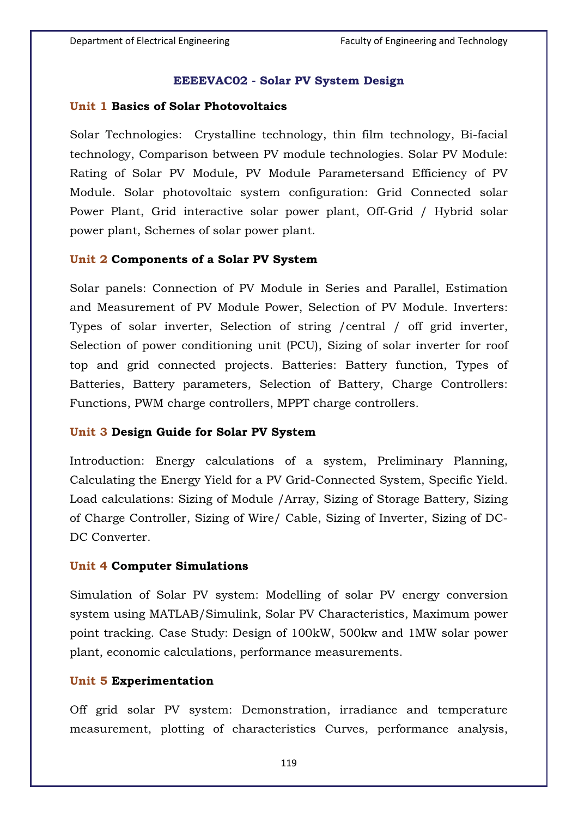### **EEEEVAC02 - Solar PV System Design**

### **Unit 1 Basics of Solar Photovoltaics**

Solar Technologies: Crystalline technology, thin film technology, Bi-facial technology, Comparison between PV module technologies. Solar PV Module: Rating of Solar PV Module, PV Module Parametersand Efficiency of PV Module. Solar photovoltaic system configuration: Grid Connected solar Power Plant, Grid interactive solar power plant, Off-Grid / Hybrid solar power plant, Schemes of solar power plant.

### **Unit 2 Components of a Solar PV System**

Solar panels: Connection of PV Module in Series and Parallel, Estimation and Measurement of PV Module Power, Selection of PV Module. Inverters: Types of solar inverter, Selection of string /central / off grid inverter, Selection of power conditioning unit (PCU), Sizing of solar inverter for roof top and grid connected projects. Batteries: Battery function, Types of Batteries, Battery parameters, Selection of Battery, Charge Controllers: Functions, PWM charge controllers, MPPT charge controllers.

## **Unit 3 Design Guide for Solar PV System**

Introduction: Energy calculations of a system, Preliminary Planning, Calculating the Energy Yield for a PV Grid-Connected System, Specific Yield. Load calculations: Sizing of Module /Array, Sizing of Storage Battery, Sizing of Charge Controller, Sizing of Wire/ Cable, Sizing of Inverter, Sizing of DC-DC Converter.

### **Unit 4 Computer Simulations**

Simulation of Solar PV system: Modelling of solar PV energy conversion system using MATLAB/Simulink, Solar PV Characteristics, Maximum power point tracking. Case Study: Design of 100kW, 500kw and 1MW solar power plant, economic calculations, performance measurements.

### **Unit 5 Experimentation**

Off grid solar PV system: Demonstration, irradiance and temperature measurement, plotting of characteristics Curves, performance analysis,